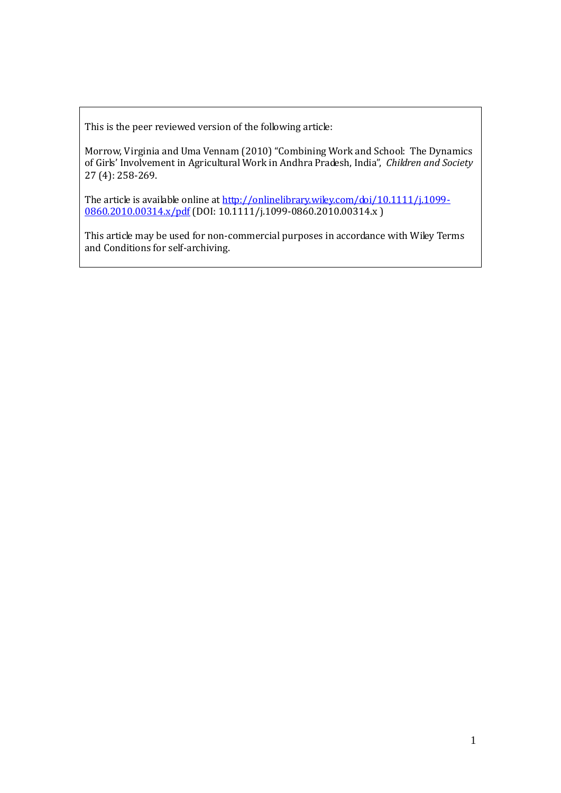This is the peer reviewed version of the following article:

Morrow, Virginia and Uma Vennam (2010) "Combining Work and School: The Dynamics of Girls' Involvement in Agricultural Work in Andhra Pradesh, India", *Children and Society* 27 (4): 258-269.

The article is available online at [http://onlinelibrary.wiley.com/doi/10.1111/j.1099-](http://onlinelibrary.wiley.com/doi/10.1111/j.1099-0860.2010.00314.x/pdf) [0860.2010.00314.x/pdf](http://onlinelibrary.wiley.com/doi/10.1111/j.1099-0860.2010.00314.x/pdf) (DOI: 10.1111/j.1099-0860.2010.00314.x )

This article may be used for non-commercial purposes in accordance with Wiley Terms and Conditions for self-archiving.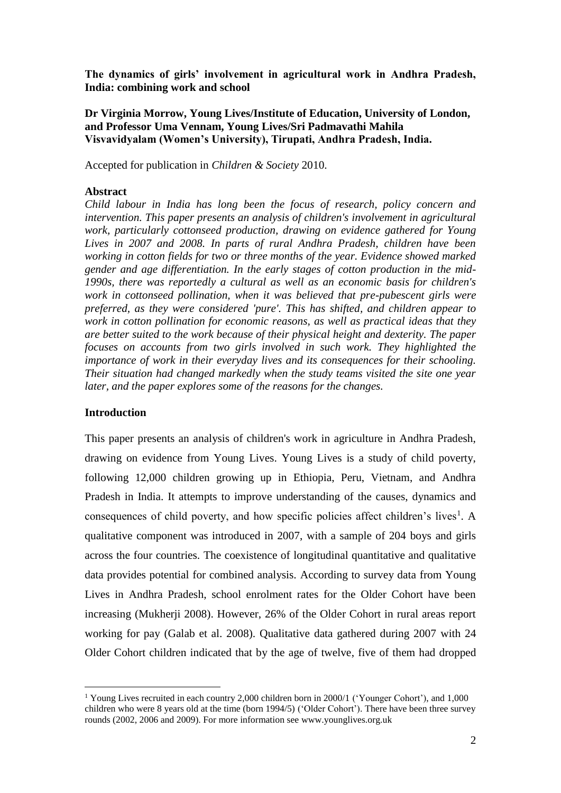**The dynamics of girls' involvement in agricultural work in Andhra Pradesh, India: combining work and school**

**Dr Virginia Morrow, Young Lives/Institute of Education, University of London, and Professor Uma Vennam, Young Lives/Sri Padmavathi Mahila Visvavidyalam (Women's University), Tirupati, Andhra Pradesh, India.**

Accepted for publication in *Children & Society* 2010.

## **Abstract**

*Child labour in India has long been the focus of research, policy concern and intervention. This paper presents an analysis of children's involvement in agricultural work, particularly cottonseed production, drawing on evidence gathered for Young Lives in 2007 and 2008. In parts of rural Andhra Pradesh, children have been working in cotton fields for two or three months of the year. Evidence showed marked gender and age differentiation. In the early stages of cotton production in the mid-1990s, there was reportedly a cultural as well as an economic basis for children's work in cottonseed pollination, when it was believed that pre-pubescent girls were preferred, as they were considered 'pure'. This has shifted, and children appear to work in cotton pollination for economic reasons, as well as practical ideas that they are better suited to the work because of their physical height and dexterity. The paper focuses on accounts from two girls involved in such work. They highlighted the importance of work in their everyday lives and its consequences for their schooling. Their situation had changed markedly when the study teams visited the site one year later, and the paper explores some of the reasons for the changes.*

# **Introduction**

<u>.</u>

This paper presents an analysis of children's work in agriculture in Andhra Pradesh, drawing on evidence from Young Lives. Young Lives is a study of child poverty, following 12,000 children growing up in Ethiopia, Peru, Vietnam, and Andhra Pradesh in India. It attempts to improve understanding of the causes, dynamics and consequences of child poverty, and how specific policies affect children's lives<sup>1</sup>. A qualitative component was introduced in 2007, with a sample of 204 boys and girls across the four countries. The coexistence of longitudinal quantitative and qualitative data provides potential for combined analysis. According to survey data from Young Lives in Andhra Pradesh, school enrolment rates for the Older Cohort have been increasing (Mukherji 2008). However, 26% of the Older Cohort in rural areas report working for pay (Galab et al. 2008). Qualitative data gathered during 2007 with 24 Older Cohort children indicated that by the age of twelve, five of them had dropped

<sup>&</sup>lt;sup>1</sup> Young Lives recruited in each country 2,000 children born in 2000/1 ('Younger Cohort'), and 1,000 children who were 8 years old at the time (born 1994/5) ('Older Cohort'). There have been three survey rounds (2002, 2006 and 2009). For more information see www.younglives.org.uk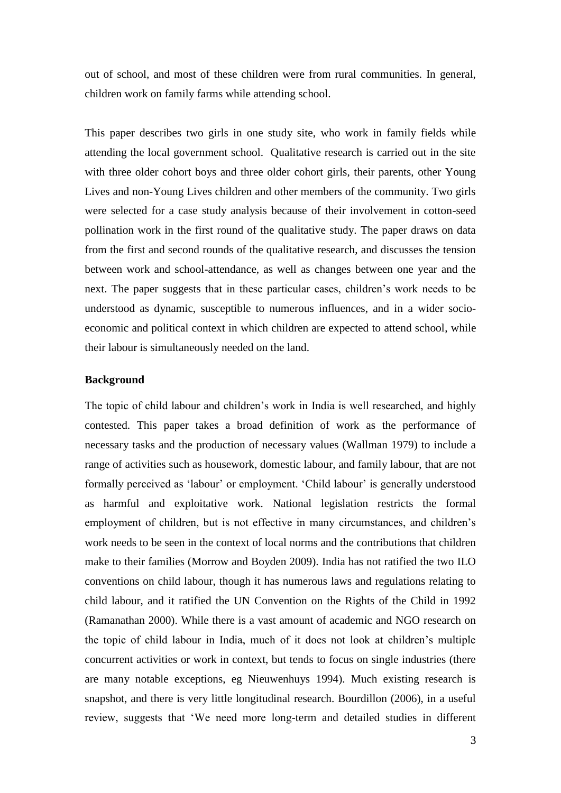out of school, and most of these children were from rural communities. In general, children work on family farms while attending school.

This paper describes two girls in one study site, who work in family fields while attending the local government school. Qualitative research is carried out in the site with three older cohort boys and three older cohort girls, their parents, other Young Lives and non-Young Lives children and other members of the community. Two girls were selected for a case study analysis because of their involvement in cotton-seed pollination work in the first round of the qualitative study. The paper draws on data from the first and second rounds of the qualitative research, and discusses the tension between work and school-attendance, as well as changes between one year and the next. The paper suggests that in these particular cases, children's work needs to be understood as dynamic, susceptible to numerous influences, and in a wider socioeconomic and political context in which children are expected to attend school, while their labour is simultaneously needed on the land.

#### **Background**

The topic of child labour and children's work in India is well researched, and highly contested. This paper takes a broad definition of work as the performance of necessary tasks and the production of necessary values (Wallman 1979) to include a range of activities such as housework, domestic labour, and family labour, that are not formally perceived as 'labour' or employment. 'Child labour' is generally understood as harmful and exploitative work. National legislation restricts the formal employment of children, but is not effective in many circumstances, and children's work needs to be seen in the context of local norms and the contributions that children make to their families (Morrow and Boyden 2009). India has not ratified the two ILO conventions on child labour, though it has numerous laws and regulations relating to child labour, and it ratified the UN Convention on the Rights of the Child in 1992 (Ramanathan 2000). While there is a vast amount of academic and NGO research on the topic of child labour in India, much of it does not look at children's multiple concurrent activities or work in context, but tends to focus on single industries (there are many notable exceptions, eg Nieuwenhuys 1994). Much existing research is snapshot, and there is very little longitudinal research. Bourdillon (2006), in a useful review, suggests that 'We need more long-term and detailed studies in different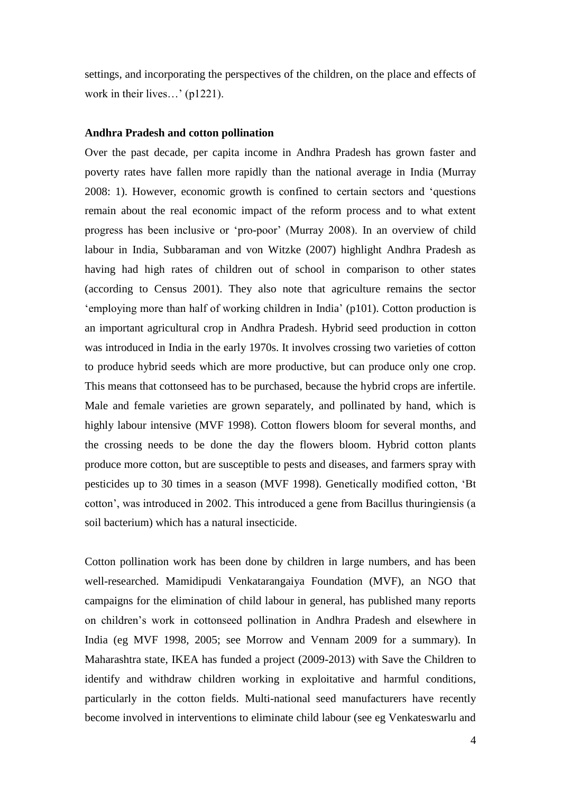settings, and incorporating the perspectives of the children, on the place and effects of work in their lives...' (p1221).

#### **Andhra Pradesh and cotton pollination**

Over the past decade, per capita income in Andhra Pradesh has grown faster and poverty rates have fallen more rapidly than the national average in India (Murray 2008: 1). However, economic growth is confined to certain sectors and 'questions remain about the real economic impact of the reform process and to what extent progress has been inclusive or 'pro-poor' (Murray 2008). In an overview of child labour in India, Subbaraman and von Witzke (2007) highlight Andhra Pradesh as having had high rates of children out of school in comparison to other states (according to Census 2001). They also note that agriculture remains the sector 'employing more than half of working children in India' (p101). Cotton production is an important agricultural crop in Andhra Pradesh. Hybrid seed production in cotton was introduced in India in the early 1970s. It involves crossing two varieties of cotton to produce hybrid seeds which are more productive, but can produce only one crop. This means that cottonseed has to be purchased, because the hybrid crops are infertile. Male and female varieties are grown separately, and pollinated by hand, which is highly labour intensive (MVF 1998). Cotton flowers bloom for several months, and the crossing needs to be done the day the flowers bloom. Hybrid cotton plants produce more cotton, but are susceptible to pests and diseases, and farmers spray with pesticides up to 30 times in a season (MVF 1998). Genetically modified cotton, 'Bt cotton', was introduced in 2002. This introduced a gene from Bacillus thuringiensis (a soil bacterium) which has a natural insecticide.

Cotton pollination work has been done by children in large numbers, and has been well-researched. Mamidipudi Venkatarangaiya Foundation (MVF), an NGO that campaigns for the elimination of child labour in general, has published many reports on children's work in cottonseed pollination in Andhra Pradesh and elsewhere in India (eg MVF 1998, 2005; see Morrow and Vennam 2009 for a summary). In Maharashtra state, IKEA has funded a project (2009-2013) with Save the Children to identify and withdraw children working in exploitative and harmful conditions, particularly in the cotton fields. Multi-national seed manufacturers have recently become involved in interventions to eliminate child labour (see eg Venkateswarlu and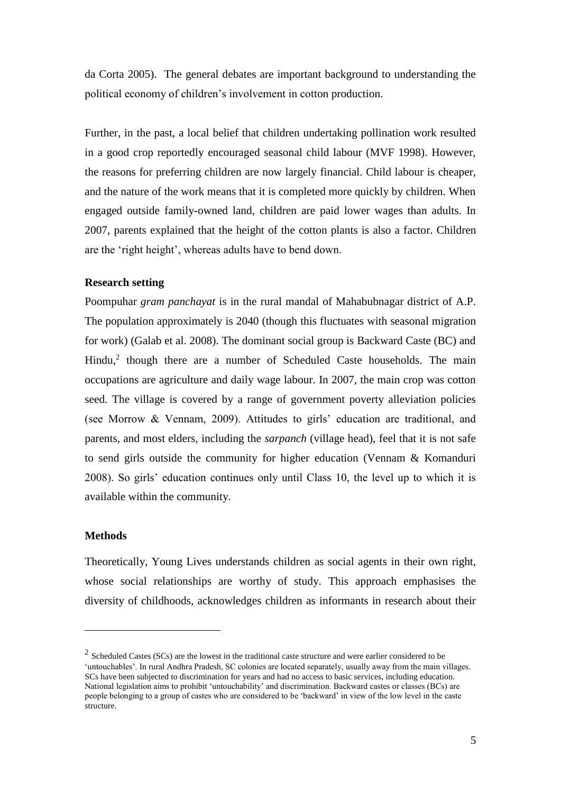da Corta 2005). The general debates are important background to understanding the political economy of children's involvement in cotton production.

Further, in the past, a local belief that children undertaking pollination work resulted in a good crop reportedly encouraged seasonal child labour (MVF 1998). However, the reasons for preferring children are now largely financial. Child labour is cheaper, and the nature of the work means that it is completed more quickly by children. When engaged outside family-owned land, children are paid lower wages than adults. In 2007, parents explained that the height of the cotton plants is also a factor. Children are the 'right height', whereas adults have to bend down.

## **Research setting**

Poompuhar *gram panchayat* is in the rural mandal of Mahabubnagar district of A.P. The population approximately is 2040 (though this fluctuates with seasonal migration for work) (Galab et al. 2008). The dominant social group is Backward Caste (BC) and Hindu,<sup>2</sup> though there are a number of Scheduled Caste households. The main occupations are agriculture and daily wage labour. In 2007, the main crop was cotton seed. The village is covered by a range of government poverty alleviation policies (see Morrow & Vennam, 2009). Attitudes to girls' education are traditional, and parents, and most elders, including the *sarpanch* (village head), feel that it is not safe to send girls outside the community for higher education (Vennam & Komanduri 2008). So girls' education continues only until Class 10, the level up to which it is available within the community.

#### **Methods**

1

Theoretically, Young Lives understands children as social agents in their own right, whose social relationships are worthy of study. This approach emphasises the diversity of childhoods, acknowledges children as informants in research about their

 $2$  Scheduled Castes (SCs) are the lowest in the traditional caste structure and were earlier considered to be 'untouchables'. In rural Andhra Pradesh, SC colonies are located separately, usually away from the main villages. SCs have been subjected to discrimination for years and had no access to basic services, including education. National legislation aims to prohibit 'untouchability' and discrimination. Backward castes or classes (BCs) are people belonging to a group of castes who are considered to be 'backward' in view of the low level in the caste structure.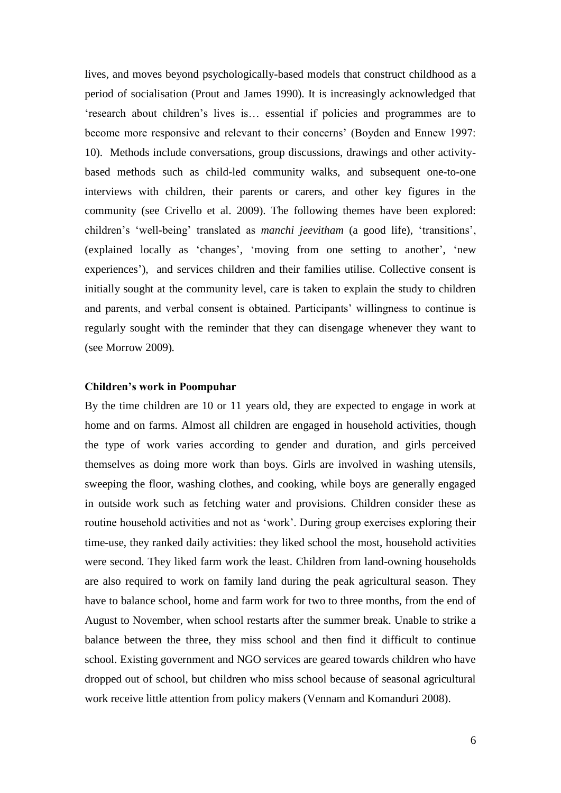lives, and moves beyond psychologically-based models that construct childhood as a period of socialisation (Prout and James 1990). It is increasingly acknowledged that 'research about children's lives is… essential if policies and programmes are to become more responsive and relevant to their concerns' (Boyden and Ennew 1997: 10). Methods include conversations, group discussions, drawings and other activitybased methods such as child-led community walks, and subsequent one-to-one interviews with children, their parents or carers, and other key figures in the community (see Crivello et al. 2009). The following themes have been explored: children's 'well-being' translated as *manchi jeevitham* (a good life)*,* 'transitions', (explained locally as 'changes', 'moving from one setting to another', 'new experiences'), and services children and their families utilise. Collective consent is initially sought at the community level, care is taken to explain the study to children and parents, and verbal consent is obtained. Participants' willingness to continue is regularly sought with the reminder that they can disengage whenever they want to (see Morrow 2009)*.*

# **Children's work in Poompuhar**

By the time children are 10 or 11 years old, they are expected to engage in work at home and on farms. Almost all children are engaged in household activities, though the type of work varies according to gender and duration, and girls perceived themselves as doing more work than boys. Girls are involved in washing utensils, sweeping the floor, washing clothes, and cooking, while boys are generally engaged in outside work such as fetching water and provisions. Children consider these as routine household activities and not as 'work'. During group exercises exploring their time-use, they ranked daily activities: they liked school the most, household activities were second. They liked farm work the least. Children from land-owning households are also required to work on family land during the peak agricultural season. They have to balance school, home and farm work for two to three months, from the end of August to November, when school restarts after the summer break. Unable to strike a balance between the three, they miss school and then find it difficult to continue school. Existing government and NGO services are geared towards children who have dropped out of school, but children who miss school because of seasonal agricultural work receive little attention from policy makers (Vennam and Komanduri 2008).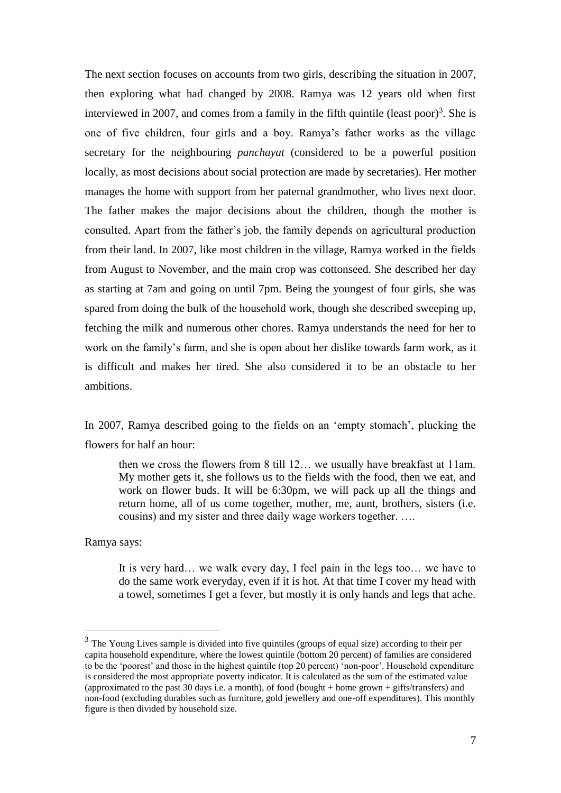The next section focuses on accounts from two girls, describing the situation in 2007, then exploring what had changed by 2008. Ramya was 12 years old when first interviewed in 2007, and comes from a family in the fifth quintile (least poor)<sup>3</sup>. She is one of five children, four girls and a boy. Ramya's father works as the village secretary for the neighbouring *panchayat* (considered to be a powerful position locally, as most decisions about social protection are made by secretaries). Her mother manages the home with support from her paternal grandmother, who lives next door. The father makes the major decisions about the children, though the mother is consulted. Apart from the father's job, the family depends on agricultural production from their land. In 2007, like most children in the village, Ramya worked in the fields from August to November, and the main crop was cottonseed. She described her day as starting at 7am and going on until 7pm. Being the youngest of four girls, she was spared from doing the bulk of the household work, though she described sweeping up, fetching the milk and numerous other chores. Ramya understands the need for her to work on the family's farm, and she is open about her dislike towards farm work, as it is difficult and makes her tired. She also considered it to be an obstacle to her ambitions.

In 2007, Ramya described going to the fields on an 'empty stomach', plucking the flowers for half an hour:

then we cross the flowers from 8 till 12… we usually have breakfast at 11am. My mother gets it, she follows us to the fields with the food, then we eat, and work on flower buds. It will be 6:30pm, we will pack up all the things and return home, all of us come together, mother, me, aunt, brothers, sisters (i.e. cousins) and my sister and three daily wage workers together. ….

Ramya says:

1

It is very hard… we walk every day, I feel pain in the legs too… we have to do the same work everyday, even if it is hot. At that time I cover my head with a towel, sometimes I get a fever, but mostly it is only hands and legs that ache.

 $3$  The Young Lives sample is divided into five quintiles (groups of equal size) according to their per capita household expenditure, where the lowest quintile (bottom 20 percent) of families are considered to be the 'poorest' and those in the highest quintile (top 20 percent) 'non-poor'. Household expenditure is considered the most appropriate poverty indicator. It is calculated as the sum of the estimated value (approximated to the past 30 days i.e. a month), of food (bought + home grown + gifts/transfers) and non-food (excluding durables such as furniture, gold jewellery and one-off expenditures). This monthly figure is then divided by household size.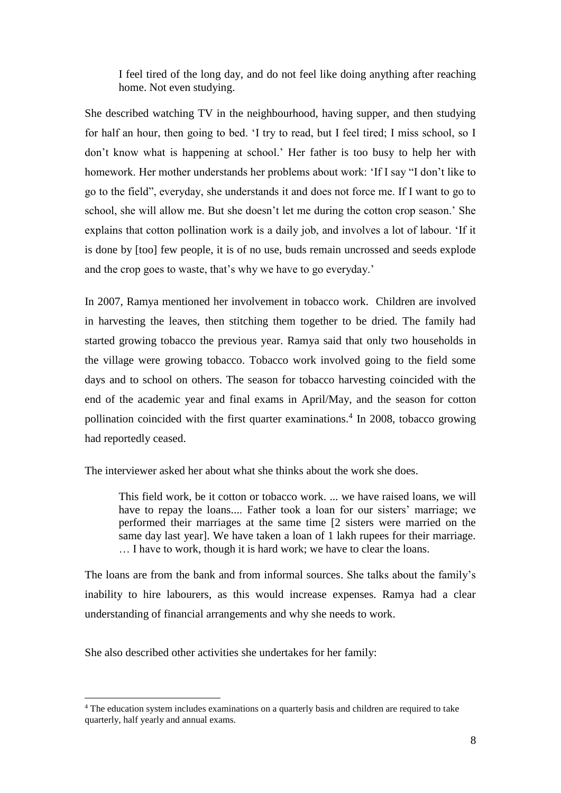I feel tired of the long day, and do not feel like doing anything after reaching home. Not even studying.

She described watching TV in the neighbourhood, having supper, and then studying for half an hour, then going to bed. 'I try to read, but I feel tired; I miss school, so I don't know what is happening at school.' Her father is too busy to help her with homework. Her mother understands her problems about work: 'If I say "I don't like to go to the field", everyday, she understands it and does not force me. If I want to go to school, she will allow me. But she doesn't let me during the cotton crop season.' She explains that cotton pollination work is a daily job, and involves a lot of labour. 'If it is done by [too] few people, it is of no use, buds remain uncrossed and seeds explode and the crop goes to waste, that's why we have to go everyday.'

In 2007, Ramya mentioned her involvement in tobacco work. Children are involved in harvesting the leaves, then stitching them together to be dried. The family had started growing tobacco the previous year. Ramya said that only two households in the village were growing tobacco. Tobacco work involved going to the field some days and to school on others. The season for tobacco harvesting coincided with the end of the academic year and final exams in April/May, and the season for cotton pollination coincided with the first quarter examinations.<sup>4</sup> In 2008, tobacco growing had reportedly ceased.

The interviewer asked her about what she thinks about the work she does.

This field work, be it cotton or tobacco work. ... we have raised loans, we will have to repay the loans.... Father took a loan for our sisters' marriage; we performed their marriages at the same time [2 sisters were married on the same day last year]. We have taken a loan of 1 lakh rupees for their marriage. … I have to work, though it is hard work; we have to clear the loans.

The loans are from the bank and from informal sources. She talks about the family's inability to hire labourers, as this would increase expenses. Ramya had a clear understanding of financial arrangements and why she needs to work.

She also described other activities she undertakes for her family:

<u>.</u>

<sup>4</sup> The education system includes examinations on a quarterly basis and children are required to take quarterly, half yearly and annual exams.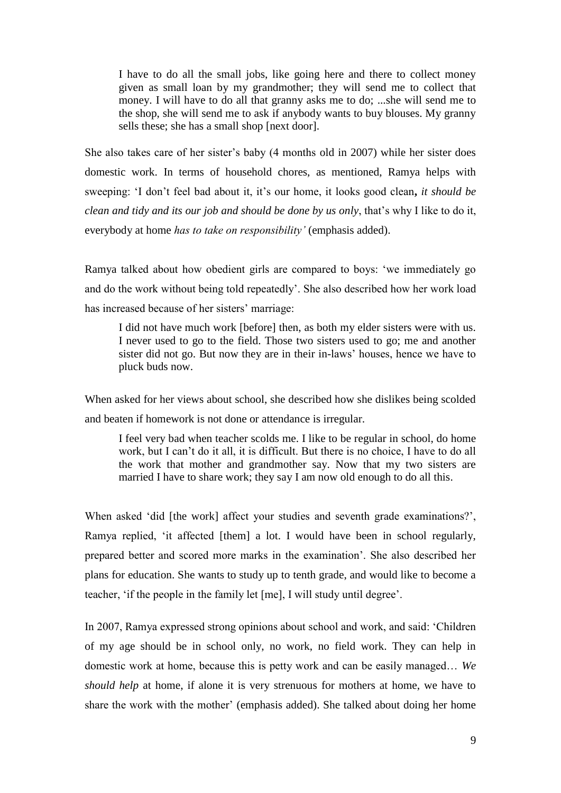I have to do all the small jobs, like going here and there to collect money given as small loan by my grandmother; they will send me to collect that money. I will have to do all that granny asks me to do; ...she will send me to the shop, she will send me to ask if anybody wants to buy blouses. My granny sells these; she has a small shop [next door].

She also takes care of her sister's baby (4 months old in 2007) while her sister does domestic work. In terms of household chores, as mentioned, Ramya helps with sweeping: 'I don't feel bad about it, it's our home, it looks good clean**,** *it should be clean and tidy and its our job and should be done by us only*, that's why I like to do it, everybody at home *has to take on responsibility'* (emphasis added).

Ramya talked about how obedient girls are compared to boys: 'we immediately go and do the work without being told repeatedly'. She also described how her work load has increased because of her sisters' marriage:

I did not have much work [before] then, as both my elder sisters were with us. I never used to go to the field. Those two sisters used to go; me and another sister did not go. But now they are in their in-laws' houses, hence we have to pluck buds now.

When asked for her views about school, she described how she dislikes being scolded and beaten if homework is not done or attendance is irregular.

I feel very bad when teacher scolds me. I like to be regular in school, do home work, but I can't do it all, it is difficult. But there is no choice, I have to do all the work that mother and grandmother say. Now that my two sisters are married I have to share work; they say I am now old enough to do all this.

When asked 'did [the work] affect your studies and seventh grade examinations?', Ramya replied, 'it affected [them] a lot. I would have been in school regularly, prepared better and scored more marks in the examination'. She also described her plans for education. She wants to study up to tenth grade, and would like to become a teacher, 'if the people in the family let [me], I will study until degree'.

In 2007, Ramya expressed strong opinions about school and work, and said: 'Children of my age should be in school only, no work, no field work. They can help in domestic work at home, because this is petty work and can be easily managed… *We should help* at home, if alone it is very strenuous for mothers at home, we have to share the work with the mother' (emphasis added). She talked about doing her home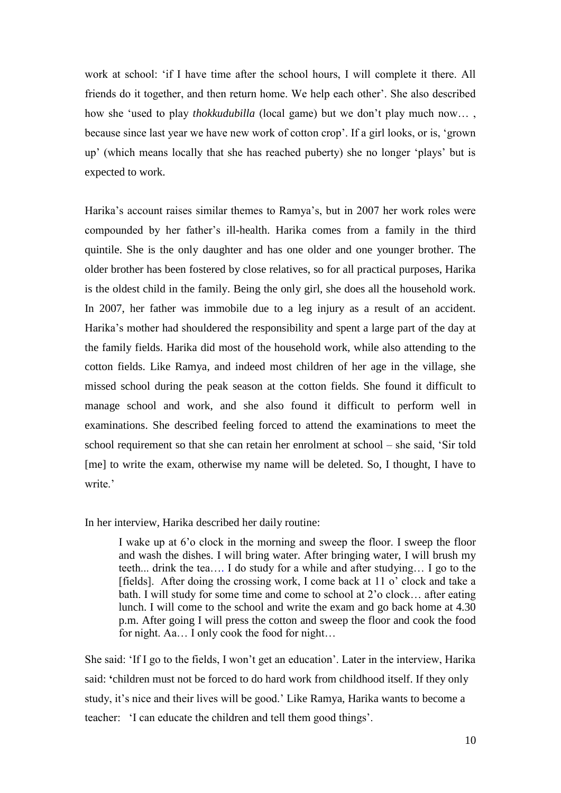work at school: 'if I have time after the school hours, I will complete it there. All friends do it together, and then return home. We help each other'. She also described how she 'used to play *thokkudubilla* (local game) but we don't play much now… , because since last year we have new work of cotton crop'. If a girl looks, or is, 'grown up' (which means locally that she has reached puberty) she no longer 'plays' but is expected to work.

Harika's account raises similar themes to Ramya's, but in 2007 her work roles were compounded by her father's ill-health. Harika comes from a family in the third quintile. She is the only daughter and has one older and one younger brother. The older brother has been fostered by close relatives, so for all practical purposes, Harika is the oldest child in the family. Being the only girl, she does all the household work. In 2007, her father was immobile due to a leg injury as a result of an accident. Harika's mother had shouldered the responsibility and spent a large part of the day at the family fields. Harika did most of the household work, while also attending to the cotton fields. Like Ramya, and indeed most children of her age in the village, she missed school during the peak season at the cotton fields. She found it difficult to manage school and work, and she also found it difficult to perform well in examinations. She described feeling forced to attend the examinations to meet the school requirement so that she can retain her enrolment at school – she said, 'Sir told [me] to write the exam, otherwise my name will be deleted. So, I thought, I have to write<sup>'</sup>

In her interview, Harika described her daily routine:

I wake up at 6'o clock in the morning and sweep the floor. I sweep the floor and wash the dishes. I will bring water. After bringing water, I will brush my teeth... drink the tea…. I do study for a while and after studying… I go to the [fields]. After doing the crossing work, I come back at 11 o' clock and take a bath. I will study for some time and come to school at 2'o clock… after eating lunch. I will come to the school and write the exam and go back home at 4.30 p.m. After going I will press the cotton and sweep the floor and cook the food for night. Aa… I only cook the food for night…

She said: 'If I go to the fields, I won't get an education'. Later in the interview, Harika said: **'**children must not be forced to do hard work from childhood itself. If they only study, it's nice and their lives will be good.' Like Ramya, Harika wants to become a teacher: 'I can educate the children and tell them good things'.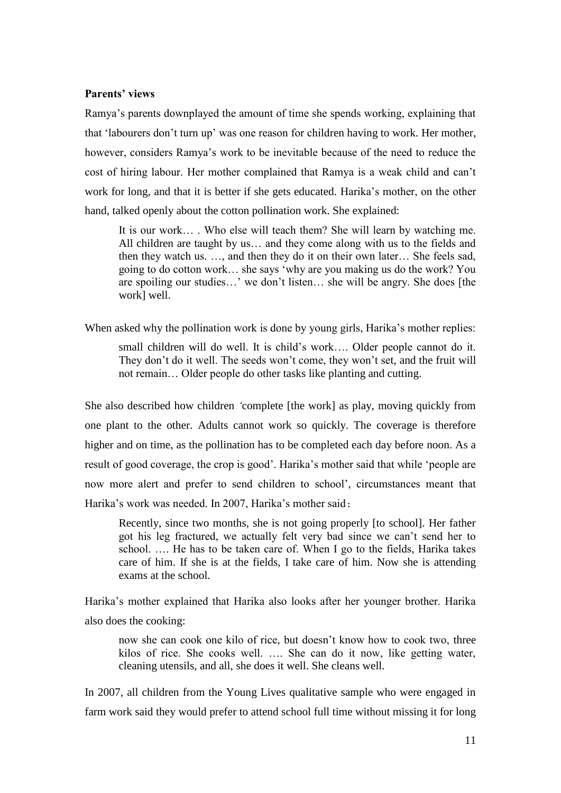## **Parents' views**

Ramya's parents downplayed the amount of time she spends working, explaining that that 'labourers don't turn up' was one reason for children having to work. Her mother, however, considers Ramya's work to be inevitable because of the need to reduce the cost of hiring labour. Her mother complained that Ramya is a weak child and can't work for long, and that it is better if she gets educated. Harika's mother, on the other hand, talked openly about the cotton pollination work. She explained:

It is our work… . Who else will teach them? She will learn by watching me. All children are taught by us… and they come along with us to the fields and then they watch us. …, and then they do it on their own later… She feels sad, going to do cotton work… she says 'why are you making us do the work? You are spoiling our studies…' we don't listen… she will be angry. She does [the work] well.

When asked why the pollination work is done by young girls, Harika's mother replies:

small children will do well. It is child's work…. Older people cannot do it. They don't do it well. The seeds won't come, they won't set, and the fruit will not remain… Older people do other tasks like planting and cutting.

She also described how children *'*complete [the work] as play, moving quickly from one plant to the other. Adults cannot work so quickly. The coverage is therefore higher and on time, as the pollination has to be completed each day before noon. As a result of good coverage, the crop is good'. Harika's mother said that while 'people are now more alert and prefer to send children to school', circumstances meant that Harika's work was needed. In 2007, Harika's mother said:

Recently, since two months, she is not going properly [to school]. Her father got his leg fractured, we actually felt very bad since we can't send her to school. …. He has to be taken care of. When I go to the fields, Harika takes care of him. If she is at the fields, I take care of him. Now she is attending exams at the school.

Harika's mother explained that Harika also looks after her younger brother. Harika also does the cooking:

now she can cook one kilo of rice, but doesn't know how to cook two, three kilos of rice. She cooks well. …. She can do it now, like getting water, cleaning utensils, and all, she does it well. She cleans well.

In 2007, all children from the Young Lives qualitative sample who were engaged in farm work said they would prefer to attend school full time without missing it for long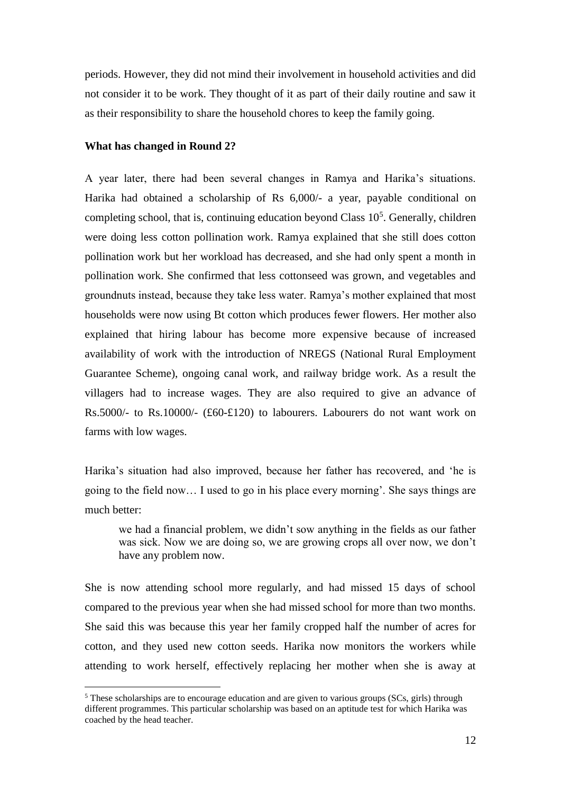periods. However, they did not mind their involvement in household activities and did not consider it to be work. They thought of it as part of their daily routine and saw it as their responsibility to share the household chores to keep the family going.

#### **What has changed in Round 2?**

<u>.</u>

A year later, there had been several changes in Ramya and Harika's situations. Harika had obtained a scholarship of Rs 6,000/- a year, payable conditional on completing school, that is, continuing education beyond Class  $10<sup>5</sup>$ . Generally, children were doing less cotton pollination work. Ramya explained that she still does cotton pollination work but her workload has decreased, and she had only spent a month in pollination work. She confirmed that less cottonseed was grown, and vegetables and groundnuts instead, because they take less water. Ramya's mother explained that most households were now using Bt cotton which produces fewer flowers. Her mother also explained that hiring labour has become more expensive because of increased availability of work with the introduction of NREGS (National Rural Employment Guarantee Scheme), ongoing canal work, and railway bridge work. As a result the villagers had to increase wages. They are also required to give an advance of Rs.5000/- to Rs.10000/- (£60-£120) to labourers. Labourers do not want work on farms with low wages.

Harika's situation had also improved, because her father has recovered, and 'he is going to the field now… I used to go in his place every morning'. She says things are much better:

we had a financial problem, we didn't sow anything in the fields as our father was sick. Now we are doing so, we are growing crops all over now, we don't have any problem now.

She is now attending school more regularly, and had missed 15 days of school compared to the previous year when she had missed school for more than two months. She said this was because this year her family cropped half the number of acres for cotton, and they used new cotton seeds. Harika now monitors the workers while attending to work herself, effectively replacing her mother when she is away at

<sup>&</sup>lt;sup>5</sup> These scholarships are to encourage education and are given to various groups (SCs, girls) through different programmes. This particular scholarship was based on an aptitude test for which Harika was coached by the head teacher.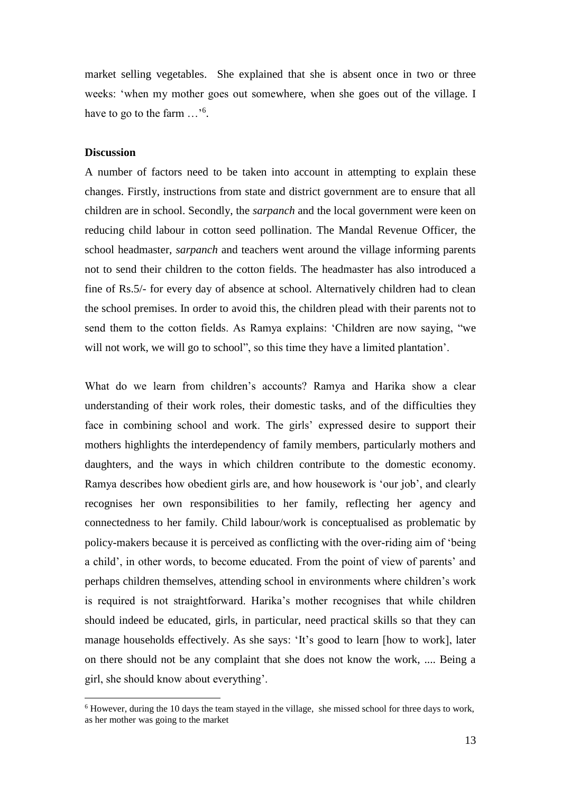market selling vegetables. She explained that she is absent once in two or three weeks: 'when my mother goes out somewhere, when she goes out of the village. I have to go to the farm ...'<sup>6</sup>.

# **Discussion**

<u>.</u>

A number of factors need to be taken into account in attempting to explain these changes. Firstly, instructions from state and district government are to ensure that all children are in school. Secondly, the *sarpanch* and the local government were keen on reducing child labour in cotton seed pollination. The Mandal Revenue Officer, the school headmaster, *sarpanch* and teachers went around the village informing parents not to send their children to the cotton fields. The headmaster has also introduced a fine of Rs.5/- for every day of absence at school. Alternatively children had to clean the school premises. In order to avoid this, the children plead with their parents not to send them to the cotton fields. As Ramya explains: 'Children are now saying, "we will not work, we will go to school", so this time they have a limited plantation'.

What do we learn from children's accounts? Ramya and Harika show a clear understanding of their work roles, their domestic tasks, and of the difficulties they face in combining school and work. The girls' expressed desire to support their mothers highlights the interdependency of family members, particularly mothers and daughters, and the ways in which children contribute to the domestic economy. Ramya describes how obedient girls are, and how housework is 'our job', and clearly recognises her own responsibilities to her family, reflecting her agency and connectedness to her family. Child labour/work is conceptualised as problematic by policy-makers because it is perceived as conflicting with the over-riding aim of 'being a child', in other words, to become educated. From the point of view of parents' and perhaps children themselves, attending school in environments where children's work is required is not straightforward. Harika's mother recognises that while children should indeed be educated, girls, in particular, need practical skills so that they can manage households effectively. As she says: 'It's good to learn [how to work], later on there should not be any complaint that she does not know the work, .... Being a girl, she should know about everything'.

 $6$  However, during the 10 days the team stayed in the village, she missed school for three days to work. as her mother was going to the market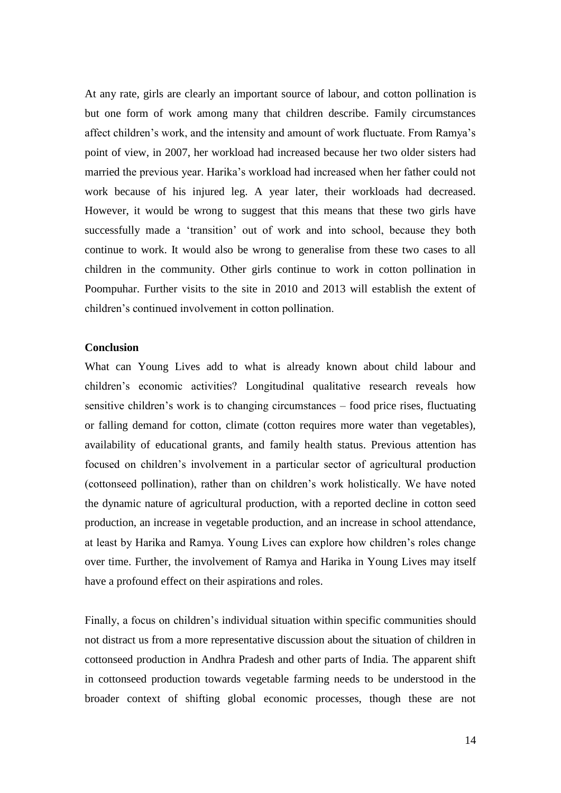At any rate, girls are clearly an important source of labour, and cotton pollination is but one form of work among many that children describe. Family circumstances affect children's work, and the intensity and amount of work fluctuate. From Ramya's point of view, in 2007, her workload had increased because her two older sisters had married the previous year. Harika's workload had increased when her father could not work because of his injured leg. A year later, their workloads had decreased. However, it would be wrong to suggest that this means that these two girls have successfully made a 'transition' out of work and into school, because they both continue to work. It would also be wrong to generalise from these two cases to all children in the community. Other girls continue to work in cotton pollination in Poompuhar. Further visits to the site in 2010 and 2013 will establish the extent of children's continued involvement in cotton pollination.

# **Conclusion**

What can Young Lives add to what is already known about child labour and children's economic activities? Longitudinal qualitative research reveals how sensitive children's work is to changing circumstances – food price rises, fluctuating or falling demand for cotton, climate (cotton requires more water than vegetables), availability of educational grants, and family health status. Previous attention has focused on children's involvement in a particular sector of agricultural production (cottonseed pollination), rather than on children's work holistically. We have noted the dynamic nature of agricultural production, with a reported decline in cotton seed production, an increase in vegetable production, and an increase in school attendance, at least by Harika and Ramya. Young Lives can explore how children's roles change over time. Further, the involvement of Ramya and Harika in Young Lives may itself have a profound effect on their aspirations and roles.

Finally, a focus on children's individual situation within specific communities should not distract us from a more representative discussion about the situation of children in cottonseed production in Andhra Pradesh and other parts of India. The apparent shift in cottonseed production towards vegetable farming needs to be understood in the broader context of shifting global economic processes, though these are not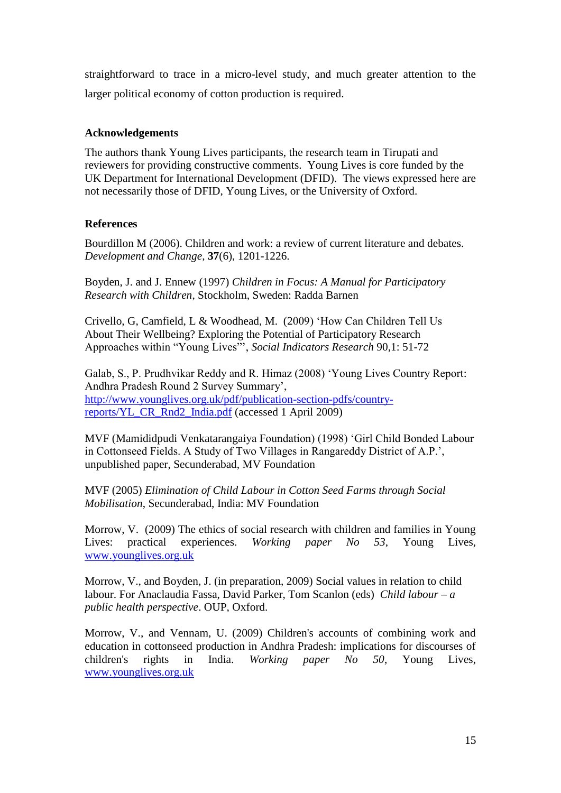straightforward to trace in a micro-level study, and much greater attention to the larger political economy of cotton production is required.

# **Acknowledgements**

The authors thank Young Lives participants, the research team in Tirupati and reviewers for providing constructive comments. Young Lives is core funded by the UK Department for International Development (DFID). The views expressed here are not necessarily those of DFID, Young Lives, or the University of Oxford.

# **References**

Bourdillon M (2006). Children and work: a review of current literature and debates. *Development and Change,* **37**(6), 1201-1226.

Boyden, J. and J. Ennew (1997) *Children in Focus: A Manual for Participatory Research with Children*, Stockholm, Sweden: Radda Barnen

Crivello, G, Camfield, L & Woodhead, M. (2009) 'How Can Children Tell Us About Their Wellbeing? Exploring the Potential of Participatory Research Approaches within "Young Lives"', *Social Indicators Research* 90,1: 51-72

Galab, S., P. Prudhvikar Reddy and R. Himaz (2008) 'Young Lives Country Report: Andhra Pradesh Round 2 Survey Summary', [http://www.younglives.org.uk/pdf/publication-section-pdfs/country](http://www.younglives.org.uk/pdf/publication-section-pdfs/country-reports/YL_CR_Rnd2_India.pdf)[reports/YL\\_CR\\_Rnd2\\_India.pdf](http://www.younglives.org.uk/pdf/publication-section-pdfs/country-reports/YL_CR_Rnd2_India.pdf) (accessed 1 April 2009)

MVF (Mamididpudi Venkatarangaiya Foundation) (1998) 'Girl Child Bonded Labour in Cottonseed Fields. A Study of Two Villages in Rangareddy District of A.P.', unpublished paper, Secunderabad, MV Foundation

MVF (2005) *Elimination of Child Labour in Cotton Seed Farms through Social Mobilisation*, Secunderabad, India: MV Foundation

Morrow, V. (2009) The ethics of social research with children and families in Young Lives: practical experiences. *Working paper No 53*, Young Lives, [www.younglives.org.uk](http://www.younglives.org.uk/)

Morrow, V., and Boyden, J. (in preparation, 2009) Social values in relation to child labour. For Anaclaudia Fassa, David Parker, Tom Scanlon (eds) *Child labour – a public health perspective*. OUP, Oxford.

Morrow, V., and Vennam, U. (2009) Children's accounts of combining work and education in cottonseed production in Andhra Pradesh: implications for discourses of children's rights in India. *Working paper No 50*, Young Lives, [www.younglives.org.uk](http://www.younglives.org.uk/)